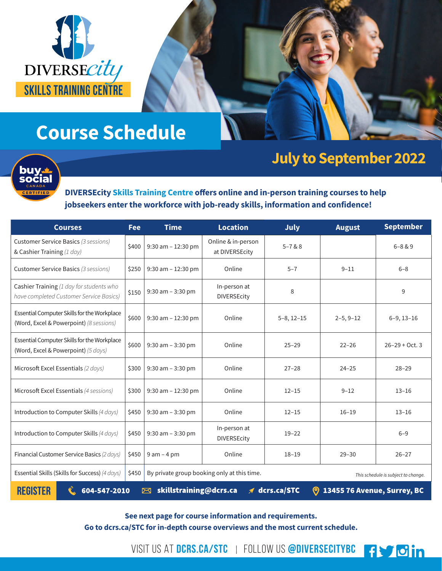

# **Course Schedule**



## **July to September 2022**

**fydin** 

**DIVERSEcity Skills Training Centre offers online and in-person training courses to help jobseekers enter the workforce with job-ready skills, information and confidence!** 

| <b>Courses</b>                                                                                                                        | <b>Fee</b> | <b>Time</b>                                                                        | <b>Location</b>                      | <b>July</b>     | <b>August</b> | <b>September</b>   |
|---------------------------------------------------------------------------------------------------------------------------------------|------------|------------------------------------------------------------------------------------|--------------------------------------|-----------------|---------------|--------------------|
| Customer Service Basics (3 sessions)<br>& Cashier Training (1 day)                                                                    | \$400      | $9:30$ am $-12:30$ pm                                                              | Online & in-person<br>at DIVERSEcity | $5 - 7 & 88$    |               | $6 - 8 & 9$        |
| <b>Customer Service Basics (3 sessions)</b>                                                                                           | \$250      | $9:30$ am $-12:30$ pm                                                              | Online                               | $5 - 7$         | $9 - 11$      | $6 - 8$            |
| Cashier Training (1 day for students who<br>have completed Customer Service Basics)                                                   | \$150      | $9:30$ am $-3:30$ pm                                                               | In-person at<br><b>DIVERSEcity</b>   | 8               |               | 9                  |
| Essential Computer Skills for the Workplace<br>(Word, Excel & Powerpoint) (8 sessions)                                                | \$600      | $9:30$ am $-12:30$ pm                                                              | Online                               | $5-8$ , $12-15$ | $2-5, 9-12$   | $6-9, 13-16$       |
| Essential Computer Skills for the Workplace<br>(Word, Excel & Powerpoint) (5 days)                                                    | \$600      | 9:30 am - 3:30 pm                                                                  | Online                               | $25 - 29$       | $22 - 26$     | $26 - 29 + Oct.$ 3 |
| Microsoft Excel Essentials (2 days)                                                                                                   | \$300      | $9:30$ am $-3:30$ pm                                                               | Online                               | $27 - 28$       | $24 - 25$     | $28 - 29$          |
| Microsoft Excel Essentials (4 sessions)                                                                                               | \$300      | $9:30$ am $-12:30$ pm                                                              | Online                               | $12 - 15$       | $9 - 12$      | $13 - 16$          |
| Introduction to Computer Skills (4 days)                                                                                              | \$450      | $9:30$ am $-3:30$ pm                                                               | Online                               | $12 - 15$       | $16 - 19$     | $13 - 16$          |
| Introduction to Computer Skills (4 days)                                                                                              | \$450      | $9:30$ am $-3:30$ pm                                                               | In-person at<br><b>DIVERSEcity</b>   | $19 - 22$       |               | $6 - 9$            |
| Financial Customer Service Basics (2 days)                                                                                            | \$450      | $9$ am $-$ 4 pm                                                                    | Online                               | $18 - 19$       | $29 - 30$     | $26 - 27$          |
| Essential Skills (Skills for Success) (4 days)                                                                                        | \$450      | By private group booking only at this time.<br>This schedule is subject to change. |                                      |                 |               |                    |
| <b>REGISTER</b><br>skillstraining@dcrs.ca<br>$\n  dcrs.ca/STC\n$<br><b>9 13455 76 Avenue, Surrey, BC</b><br>604-547-2010<br>$\bowtie$ |            |                                                                                    |                                      |                 |               |                    |

**See next page for course information and requirements.** 

**Go to dcrs.ca/STC for in-depth course overviews and the most current schedule.** 

VISIT US AT DCRS.CA/STC | FOLLOW US @DIVERSECITYBC